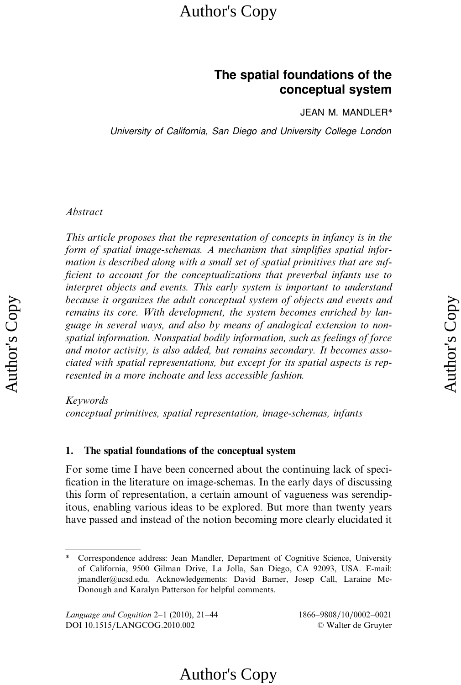## The spatial foundations of the conceptual system

JEAN M. MANDLER\*

University of California, San Diego and University College London

#### Abstract

This article proposes that the representation of concepts in infancy is in the form of spatial image-schemas. A mechanism that simplifies spatial information is described along with a small set of spatial primitives that are sufficient to account for the conceptualizations that preverbal infants use to interpret objects and events. This early system is important to understand because it organizes the adult conceptual system of objects and events and remains its core. With development, the system becomes enriched by language in several ways, and also by means of analogical extension to nonspatial information. Nonspatial bodily information, such as feelings of force and motor activity, is also added, but remains secondary. It becomes associated with spatial representations, but except for its spatial aspects is represented in a more inchoate and less accessible fashion.

Keywords

Author's Copy Author's Copy

conceptual primitives, spatial representation, image-schemas, infants

#### 1. The spatial foundations of the conceptual system

For some time I have been concerned about the continuing lack of specification in the literature on image-schemas. In the early days of discussing this form of representation, a certain amount of vagueness was serendipitous, enabling various ideas to be explored. But more than twenty years have passed and instead of the notion becoming more clearly elucidated it

Correspondence address: Jean Mandler, Department of Cognitive Science, University of California, 9500 Gilman Drive, La Jolla, San Diego, CA 92093, USA. E-mail: jmandler@ucsd.edu. Acknowledgements: David Barner, Josep Call, Laraine Mc-Donough and Karalyn Patterson for helpful comments.

Language and Cognition 2–1 (2010), 21–44 1866–9808/10/0002–0021 DOI 10.1515/LANGCOG.2010.002 *6* Walter de Gruyter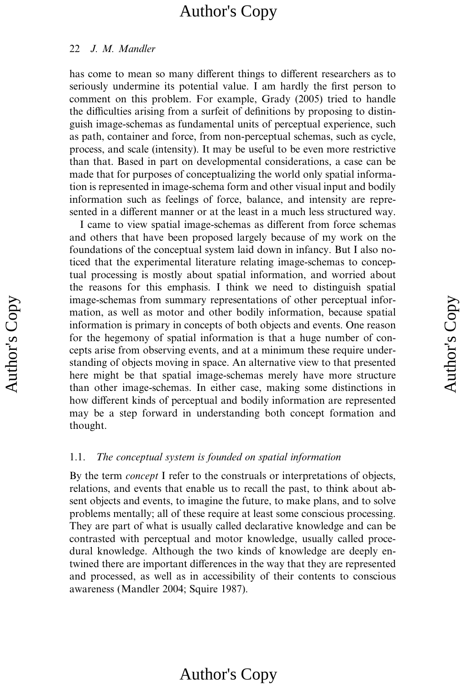#### 22 J. M. Mandler

has come to mean so many different things to different researchers as to seriously undermine its potential value. I am hardly the first person to comment on this problem. For example, Grady (2005) tried to handle the difficulties arising from a surfeit of definitions by proposing to distinguish image-schemas as fundamental units of perceptual experience, such as path, container and force, from non-perceptual schemas, such as cycle, process, and scale (intensity). It may be useful to be even more restrictive than that. Based in part on developmental considerations, a case can be made that for purposes of conceptualizing the world only spatial information is represented in image-schema form and other visual input and bodily information such as feelings of force, balance, and intensity are represented in a different manner or at the least in a much less structured way.

I came to view spatial image-schemas as different from force schemas and others that have been proposed largely because of my work on the foundations of the conceptual system laid down in infancy. But I also noticed that the experimental literature relating image-schemas to conceptual processing is mostly about spatial information, and worried about the reasons for this emphasis. I think we need to distinguish spatial image-schemas from summary representations of other perceptual information, as well as motor and other bodily information, because spatial information is primary in concepts of both objects and events. One reason for the hegemony of spatial information is that a huge number of concepts arise from observing events, and at a minimum these require understanding of objects moving in space. An alternative view to that presented here might be that spatial image-schemas merely have more structure than other image-schemas. In either case, making some distinctions in how different kinds of perceptual and bodily information are represented may be a step forward in understanding both concept formation and thought.

### 1.1. The conceptual system is founded on spatial information

By the term *concept* I refer to the construals or interpretations of objects, relations, and events that enable us to recall the past, to think about absent objects and events, to imagine the future, to make plans, and to solve problems mentally; all of these require at least some conscious processing. They are part of what is usually called declarative knowledge and can be contrasted with perceptual and motor knowledge, usually called procedural knowledge. Although the two kinds of knowledge are deeply entwined there are important differences in the way that they are represented and processed, as well as in accessibility of their contents to conscious awareness (Mandler 2004; Squire 1987).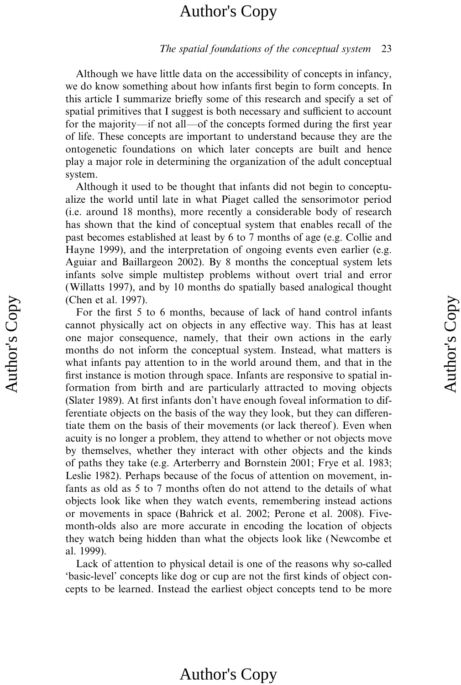#### The spatial foundations of the conceptual system 23

Although we have little data on the accessibility of concepts in infancy, we do know something about how infants first begin to form concepts. In this article I summarize briefly some of this research and specify a set of spatial primitives that I suggest is both necessary and sufficient to account for the majority—if not all—of the concepts formed during the first year of life. These concepts are important to understand because they are the ontogenetic foundations on which later concepts are built and hence play a major role in determining the organization of the adult conceptual system.

Although it used to be thought that infants did not begin to conceptualize the world until late in what Piaget called the sensorimotor period (i.e. around 18 months), more recently a considerable body of research has shown that the kind of conceptual system that enables recall of the past becomes established at least by 6 to 7 months of age (e.g. Collie and Hayne 1999), and the interpretation of ongoing events even earlier (e.g. Aguiar and Baillargeon 2002). By 8 months the conceptual system lets infants solve simple multistep problems without overt trial and error (Willatts 1997), and by 10 months do spatially based analogical thought (Chen et al. 1997).

For the first 5 to 6 months, because of lack of hand control infants cannot physically act on objects in any effective way. This has at least one major consequence, namely, that their own actions in the early months do not inform the conceptual system. Instead, what matters is what infants pay attention to in the world around them, and that in the first instance is motion through space. Infants are responsive to spatial information from birth and are particularly attracted to moving objects (Slater 1989). At first infants don't have enough foveal information to differentiate objects on the basis of the way they look, but they can differentiate them on the basis of their movements (or lack thereof ). Even when acuity is no longer a problem, they attend to whether or not objects move by themselves, whether they interact with other objects and the kinds of paths they take (e.g. Arterberry and Bornstein 2001; Frye et al. 1983; Leslie 1982). Perhaps because of the focus of attention on movement, infants as old as 5 to 7 months often do not attend to the details of what objects look like when they watch events, remembering instead actions or movements in space (Bahrick et al. 2002; Perone et al. 2008). Fivemonth-olds also are more accurate in encoding the location of objects they watch being hidden than what the objects look like (Newcombe et al. 1999).

Lack of attention to physical detail is one of the reasons why so-called 'basic-level' concepts like dog or cup are not the first kinds of object concepts to be learned. Instead the earliest object concepts tend to be more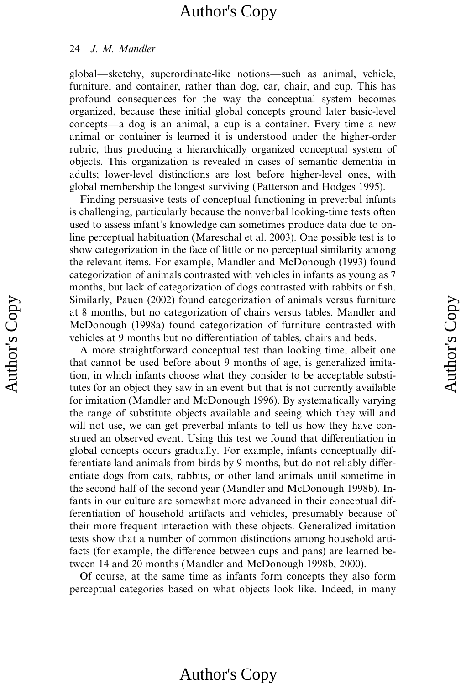#### 24 J. M. Mandler

global—sketchy, superordinate-like notions—such as animal, vehicle, furniture, and container, rather than dog, car, chair, and cup. This has profound consequences for the way the conceptual system becomes organized, because these initial global concepts ground later basic-level concepts—a dog is an animal, a cup is a container. Every time a new animal or container is learned it is understood under the higher-order rubric, thus producing a hierarchically organized conceptual system of objects. This organization is revealed in cases of semantic dementia in adults; lower-level distinctions are lost before higher-level ones, with global membership the longest surviving (Patterson and Hodges 1995).

Finding persuasive tests of conceptual functioning in preverbal infants is challenging, particularly because the nonverbal looking-time tests often used to assess infant's knowledge can sometimes produce data due to online perceptual habituation (Mareschal et al. 2003). One possible test is to show categorization in the face of little or no perceptual similarity among the relevant items. For example, Mandler and McDonough (1993) found categorization of animals contrasted with vehicles in infants as young as 7 months, but lack of categorization of dogs contrasted with rabbits or fish. Similarly, Pauen (2002) found categorization of animals versus furniture at 8 months, but no categorization of chairs versus tables. Mandler and McDonough (1998a) found categorization of furniture contrasted with vehicles at 9 months but no differentiation of tables, chairs and beds.

A more straightforward conceptual test than looking time, albeit one that cannot be used before about 9 months of age, is generalized imitation, in which infants choose what they consider to be acceptable substitutes for an object they saw in an event but that is not currently available for imitation (Mandler and McDonough 1996). By systematically varying the range of substitute objects available and seeing which they will and will not use, we can get preverbal infants to tell us how they have construed an observed event. Using this test we found that differentiation in global concepts occurs gradually. For example, infants conceptually differentiate land animals from birds by 9 months, but do not reliably differentiate dogs from cats, rabbits, or other land animals until sometime in the second half of the second year (Mandler and McDonough 1998b). Infants in our culture are somewhat more advanced in their conceptual differentiation of household artifacts and vehicles, presumably because of their more frequent interaction with these objects. Generalized imitation tests show that a number of common distinctions among household artifacts (for example, the difference between cups and pans) are learned between 14 and 20 months (Mandler and McDonough 1998b, 2000).

Of course, at the same time as infants form concepts they also form perceptual categories based on what objects look like. Indeed, in many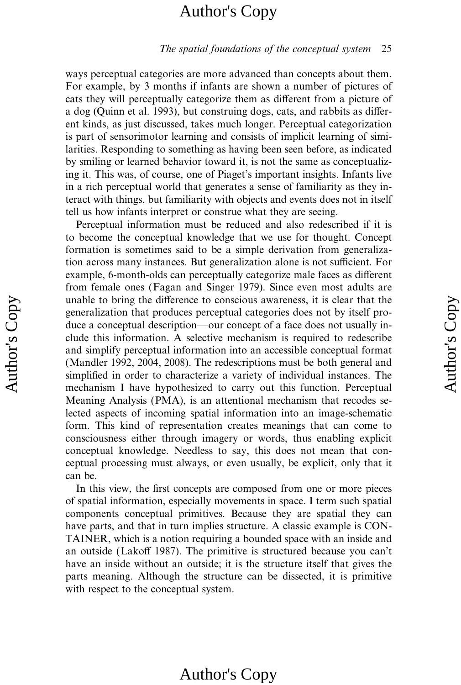## The spatial foundations of the conceptual system 25

ways perceptual categories are more advanced than concepts about them. For example, by 3 months if infants are shown a number of pictures of cats they will perceptually categorize them as different from a picture of a dog (Quinn et al. 1993), but construing dogs, cats, and rabbits as different kinds, as just discussed, takes much longer. Perceptual categorization is part of sensorimotor learning and consists of implicit learning of similarities. Responding to something as having been seen before, as indicated by smiling or learned behavior toward it, is not the same as conceptualizing it. This was, of course, one of Piaget's important insights. Infants live in a rich perceptual world that generates a sense of familiarity as they interact with things, but familiarity with objects and events does not in itself tell us how infants interpret or construe what they are seeing.

Perceptual information must be reduced and also redescribed if it is to become the conceptual knowledge that we use for thought. Concept formation is sometimes said to be a simple derivation from generalization across many instances. But generalization alone is not sufficient. For example, 6-month-olds can perceptually categorize male faces as different from female ones (Fagan and Singer 1979). Since even most adults are unable to bring the difference to conscious awareness, it is clear that the generalization that produces perceptual categories does not by itself produce a conceptual description—our concept of a face does not usually include this information. A selective mechanism is required to redescribe and simplify perceptual information into an accessible conceptual format (Mandler 1992, 2004, 2008). The redescriptions must be both general and simplified in order to characterize a variety of individual instances. The mechanism I have hypothesized to carry out this function, Perceptual Meaning Analysis (PMA), is an attentional mechanism that recodes selected aspects of incoming spatial information into an image-schematic form. This kind of representation creates meanings that can come to consciousness either through imagery or words, thus enabling explicit conceptual knowledge. Needless to say, this does not mean that conceptual processing must always, or even usually, be explicit, only that it can be.

In this view, the first concepts are composed from one or more pieces of spatial information, especially movements in space. I term such spatial components conceptual primitives. Because they are spatial they can have parts, and that in turn implies structure. A classic example is CON-TAINER, which is a notion requiring a bounded space with an inside and an outside (Lakoff 1987). The primitive is structured because you can't have an inside without an outside; it is the structure itself that gives the parts meaning. Although the structure can be dissected, it is primitive with respect to the conceptual system.

# Author's Copy Author's Copy

# Author's Copy Author's Copy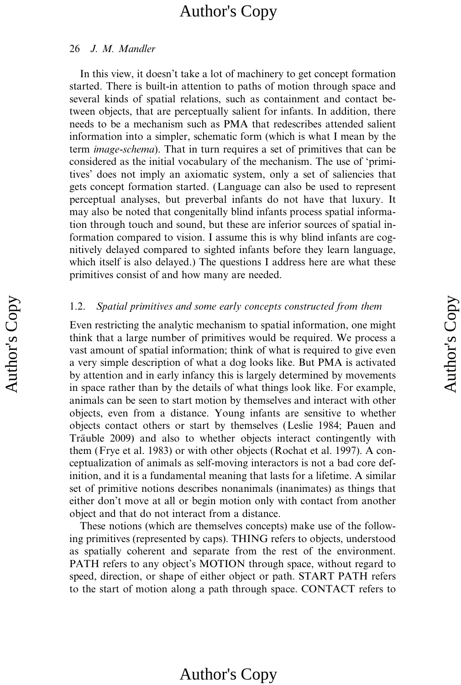#### 26 J. M. Mandler

In this view, it doesn't take a lot of machinery to get concept formation started. There is built-in attention to paths of motion through space and several kinds of spatial relations, such as containment and contact between objects, that are perceptually salient for infants. In addition, there needs to be a mechanism such as PMA that redescribes attended salient information into a simpler, schematic form (which is what I mean by the term image-schema). That in turn requires a set of primitives that can be considered as the initial vocabulary of the mechanism. The use of 'primitives' does not imply an axiomatic system, only a set of saliencies that gets concept formation started. (Language can also be used to represent perceptual analyses, but preverbal infants do not have that luxury. It may also be noted that congenitally blind infants process spatial information through touch and sound, but these are inferior sources of spatial information compared to vision. I assume this is why blind infants are cognitively delayed compared to sighted infants before they learn language, which itself is also delayed.) The questions I address here are what these primitives consist of and how many are needed.

### 1.2. Spatial primitives and some early concepts constructed from them

Even restricting the analytic mechanism to spatial information, one might think that a large number of primitives would be required. We process a vast amount of spatial information; think of what is required to give even a very simple description of what a dog looks like. But PMA is activated by attention and in early infancy this is largely determined by movements in space rather than by the details of what things look like. For example, animals can be seen to start motion by themselves and interact with other objects, even from a distance. Young infants are sensitive to whether objects contact others or start by themselves (Leslie 1984; Pauen and Träuble 2009) and also to whether objects interact contingently with them (Frye et al. 1983) or with other objects (Rochat et al. 1997). A conceptualization of animals as self-moving interactors is not a bad core definition, and it is a fundamental meaning that lasts for a lifetime. A similar set of primitive notions describes nonanimals (inanimates) as things that either don't move at all or begin motion only with contact from another object and that do not interact from a distance.

These notions (which are themselves concepts) make use of the following primitives (represented by caps). THING refers to objects, understood as spatially coherent and separate from the rest of the environment. PATH refers to any object's MOTION through space, without regard to speed, direction, or shape of either object or path. START PATH refers to the start of motion along a path through space. CONTACT refers to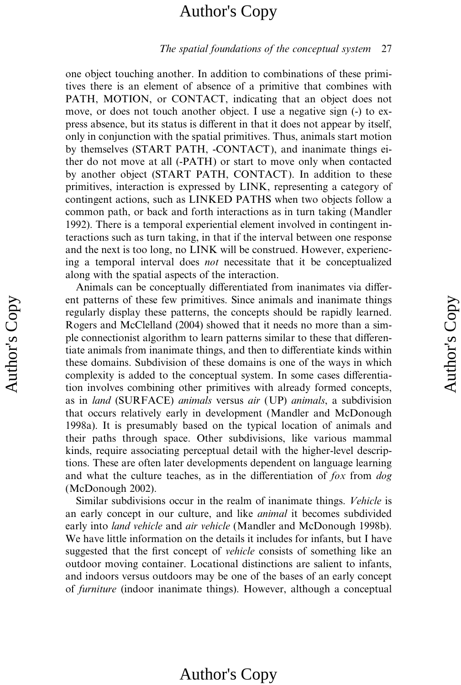#### The spatial foundations of the conceptual system 27

one object touching another. In addition to combinations of these primitives there is an element of absence of a primitive that combines with PATH, MOTION, or CONTACT, indicating that an object does not move, or does not touch another object. I use a negative sign (-) to express absence, but its status is different in that it does not appear by itself, only in conjunction with the spatial primitives. Thus, animals start motion by themselves (START PATH, -CONTACT ), and inanimate things either do not move at all (-PATH) or start to move only when contacted by another object (START PATH, CONTACT ). In addition to these primitives, interaction is expressed by LINK, representing a category of contingent actions, such as LINKED PATHS when two objects follow a common path, or back and forth interactions as in turn taking (Mandler 1992). There is a temporal experiential element involved in contingent interactions such as turn taking, in that if the interval between one response and the next is too long, no LINK will be construed. However, experiencing a temporal interval does not necessitate that it be conceptualized along with the spatial aspects of the interaction.

Animals can be conceptually differentiated from inanimates via different patterns of these few primitives. Since animals and inanimate things regularly display these patterns, the concepts should be rapidly learned. Rogers and McClelland (2004) showed that it needs no more than a simple connectionist algorithm to learn patterns similar to these that differentiate animals from inanimate things, and then to differentiate kinds within these domains. Subdivision of these domains is one of the ways in which complexity is added to the conceptual system. In some cases differentiation involves combining other primitives with already formed concepts, as in land (SURFACE) animals versus air (UP) animals, a subdivision that occurs relatively early in development (Mandler and McDonough 1998a). It is presumably based on the typical location of animals and their paths through space. Other subdivisions, like various mammal kinds, require associating perceptual detail with the higher-level descriptions. These are often later developments dependent on language learning and what the culture teaches, as in the differentiation of  $f(x)$  from  $\log$ (McDonough 2002).

Similar subdivisions occur in the realm of inanimate things. Vehicle is an early concept in our culture, and like animal it becomes subdivided early into *land vehicle* and *air vehicle* (Mandler and McDonough 1998b). We have little information on the details it includes for infants, but I have suggested that the first concept of vehicle consists of something like an outdoor moving container. Locational distinctions are salient to infants, and indoors versus outdoors may be one of the bases of an early concept of furniture (indoor inanimate things). However, although a conceptual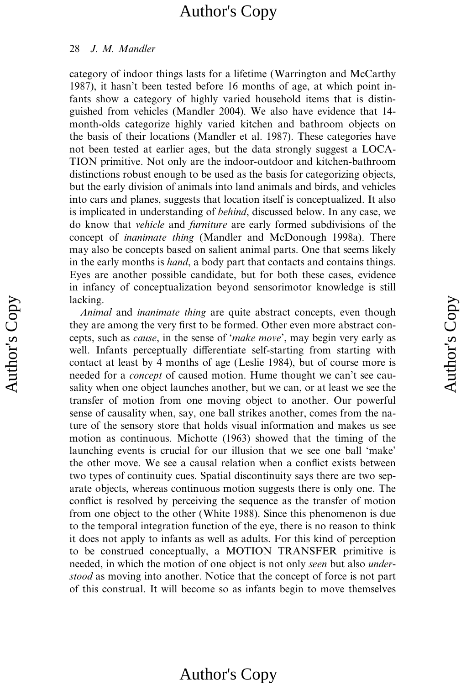#### 28 J. M. Mandler

category of indoor things lasts for a lifetime (Warrington and McCarthy 1987), it hasn't been tested before 16 months of age, at which point infants show a category of highly varied household items that is distinguished from vehicles (Mandler 2004). We also have evidence that 14 month-olds categorize highly varied kitchen and bathroom objects on the basis of their locations (Mandler et al. 1987). These categories have not been tested at earlier ages, but the data strongly suggest a LOCA-TION primitive. Not only are the indoor-outdoor and kitchen-bathroom distinctions robust enough to be used as the basis for categorizing objects, but the early division of animals into land animals and birds, and vehicles into cars and planes, suggests that location itself is conceptualized. It also is implicated in understanding of behind, discussed below. In any case, we do know that vehicle and furniture are early formed subdivisions of the concept of inanimate thing (Mandler and McDonough 1998a). There may also be concepts based on salient animal parts. One that seems likely in the early months is hand, a body part that contacts and contains things. Eyes are another possible candidate, but for both these cases, evidence in infancy of conceptualization beyond sensorimotor knowledge is still lacking.

Animal and inanimate thing are quite abstract concepts, even though they are among the very first to be formed. Other even more abstract concepts, such as cause, in the sense of 'make move', may begin very early as well. Infants perceptually differentiate self-starting from starting with contact at least by 4 months of age (Leslie 1984), but of course more is needed for a concept of caused motion. Hume thought we can't see causality when one object launches another, but we can, or at least we see the transfer of motion from one moving object to another. Our powerful sense of causality when, say, one ball strikes another, comes from the nature of the sensory store that holds visual information and makes us see motion as continuous. Michotte (1963) showed that the timing of the launching events is crucial for our illusion that we see one ball 'make' the other move. We see a causal relation when a conflict exists between two types of continuity cues. Spatial discontinuity says there are two separate objects, whereas continuous motion suggests there is only one. The conflict is resolved by perceiving the sequence as the transfer of motion from one object to the other (White 1988). Since this phenomenon is due to the temporal integration function of the eye, there is no reason to think it does not apply to infants as well as adults. For this kind of perception to be construed conceptually, a MOTION TRANSFER primitive is needed, in which the motion of one object is not only seen but also understood as moving into another. Notice that the concept of force is not part of this construal. It will become so as infants begin to move themselves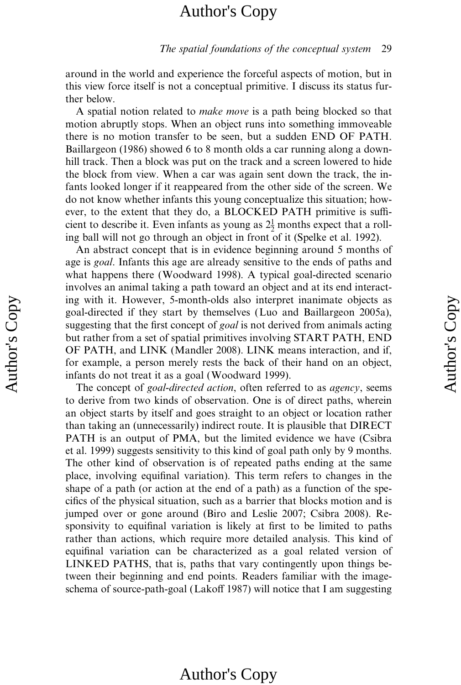around in the world and experience the forceful aspects of motion, but in this view force itself is not a conceptual primitive. I discuss its status further below.

A spatial notion related to make move is a path being blocked so that motion abruptly stops. When an object runs into something immoveable there is no motion transfer to be seen, but a sudden END OF PATH. Baillargeon (1986) showed 6 to 8 month olds a car running along a downhill track. Then a block was put on the track and a screen lowered to hide the block from view. When a car was again sent down the track, the infants looked longer if it reappeared from the other side of the screen. We do not know whether infants this young conceptualize this situation; however, to the extent that they do, a BLOCKED PATH primitive is sufficient to describe it. Even infants as young as  $2\frac{1}{2}$  months expect that a rolling ball will not go through an object in front of it (Spelke et al. 1992).

An abstract concept that is in evidence beginning around 5 months of age is goal. Infants this age are already sensitive to the ends of paths and what happens there (Woodward 1998). A typical goal-directed scenario involves an animal taking a path toward an object and at its end interacting with it. However, 5-month-olds also interpret inanimate objects as goal-directed if they start by themselves (Luo and Baillargeon 2005a), suggesting that the first concept of *goal* is not derived from animals acting but rather from a set of spatial primitives involving START PATH, END OF PATH, and LINK (Mandler 2008). LINK means interaction, and if, for example, a person merely rests the back of their hand on an object, infants do not treat it as a goal (Woodward 1999).

The concept of *goal-directed action*, often referred to as *agency*, seems to derive from two kinds of observation. One is of direct paths, wherein an object starts by itself and goes straight to an object or location rather than taking an (unnecessarily) indirect route. It is plausible that DIRECT PATH is an output of PMA, but the limited evidence we have (Csibra et al. 1999) suggests sensitivity to this kind of goal path only by 9 months. The other kind of observation is of repeated paths ending at the same place, involving equifinal variation). This term refers to changes in the shape of a path (or action at the end of a path) as a function of the specifics of the physical situation, such as a barrier that blocks motion and is jumped over or gone around (Biro and Leslie 2007; Csibra 2008). Responsivity to equifinal variation is likely at first to be limited to paths rather than actions, which require more detailed analysis. This kind of equifinal variation can be characterized as a goal related version of LINKED PATHS, that is, paths that vary contingently upon things between their beginning and end points. Readers familiar with the imageschema of source-path-goal (Lakoff 1987) will notice that I am suggesting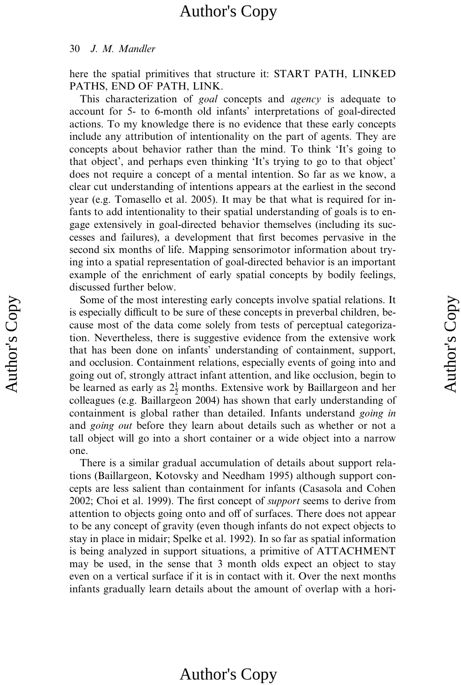#### 30 J. M. Mandler

here the spatial primitives that structure it: START PATH, LINKED PATHS, END OF PATH, LINK.

This characterization of *goal* concepts and *agency* is adequate to account for 5- to 6-month old infants' interpretations of goal-directed actions. To my knowledge there is no evidence that these early concepts include any attribution of intentionality on the part of agents. They are concepts about behavior rather than the mind. To think 'It's going to that object', and perhaps even thinking 'It's trying to go to that object' does not require a concept of a mental intention. So far as we know, a clear cut understanding of intentions appears at the earliest in the second year (e.g. Tomasello et al. 2005). It may be that what is required for infants to add intentionality to their spatial understanding of goals is to engage extensively in goal-directed behavior themselves (including its successes and failures), a development that first becomes pervasive in the second six months of life. Mapping sensorimotor information about trying into a spatial representation of goal-directed behavior is an important example of the enrichment of early spatial concepts by bodily feelings, discussed further below.

Some of the most interesting early concepts involve spatial relations. It is especially difficult to be sure of these concepts in preverbal children, because most of the data come solely from tests of perceptual categorization. Nevertheless, there is suggestive evidence from the extensive work that has been done on infants' understanding of containment, support, and occlusion. Containment relations, especially events of going into and going out of, strongly attract infant attention, and like occlusion, begin to be learned as early as  $2\frac{1}{2}$  months. Extensive work by Baillargeon and her colleagues (e.g. Baillargeon 2004) has shown that early understanding of containment is global rather than detailed. Infants understand *going in* and *going out* before they learn about details such as whether or not a tall object will go into a short container or a wide object into a narrow one.

There is a similar gradual accumulation of details about support relations (Baillargeon, Kotovsky and Needham 1995) although support concepts are less salient than containment for infants (Casasola and Cohen 2002; Choi et al. 1999). The first concept of support seems to derive from attention to objects going onto and off of surfaces. There does not appear to be any concept of gravity (even though infants do not expect objects to stay in place in midair; Spelke et al. 1992). In so far as spatial information is being analyzed in support situations, a primitive of ATTACHMENT may be used, in the sense that 3 month olds expect an object to stay even on a vertical surface if it is in contact with it. Over the next months infants gradually learn details about the amount of overlap with a hori-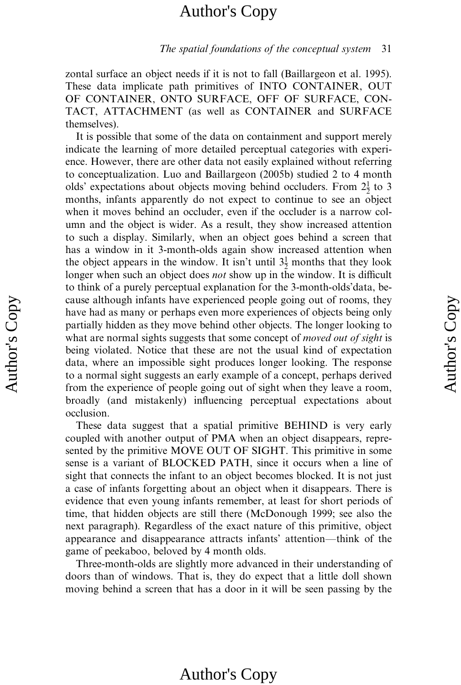The spatial foundations of the conceptual system 31

zontal surface an object needs if it is not to fall (Baillargeon et al. 1995). These data implicate path primitives of INTO CONTAINER, OUT OF CONTAINER, ONTO SURFACE, OFF OF SURFACE, CON-TACT, ATTACHMENT (as well as CONTAINER and SURFACE themselves).

It is possible that some of the data on containment and support merely indicate the learning of more detailed perceptual categories with experience. However, there are other data not easily explained without referring to conceptualization. Luo and Baillargeon (2005b) studied 2 to 4 month olds' expectations about objects moving behind occluders. From  $2\frac{1}{2}$  to 3 months, infants apparently do not expect to continue to see an object when it moves behind an occluder, even if the occluder is a narrow column and the object is wider. As a result, they show increased attention to such a display. Similarly, when an object goes behind a screen that has a window in it 3-month-olds again show increased attention when the object appears in the window. It isn't until  $3\frac{1}{2}$  months that they look longer when such an object does *not* show up in the window. It is difficult to think of a purely perceptual explanation for the 3-month-olds'data, because although infants have experienced people going out of rooms, they have had as many or perhaps even more experiences of objects being only partially hidden as they move behind other objects. The longer looking to what are normal sights suggests that some concept of *moved out of sight* is being violated. Notice that these are not the usual kind of expectation data, where an impossible sight produces longer looking. The response to a normal sight suggests an early example of a concept, perhaps derived from the experience of people going out of sight when they leave a room, broadly (and mistakenly) influencing perceptual expectations about occlusion.

These data suggest that a spatial primitive BEHIND is very early coupled with another output of PMA when an object disappears, represented by the primitive MOVE OUT OF SIGHT. This primitive in some sense is a variant of BLOCKED PATH, since it occurs when a line of sight that connects the infant to an object becomes blocked. It is not just a case of infants forgetting about an object when it disappears. There is evidence that even young infants remember, at least for short periods of time, that hidden objects are still there (McDonough 1999; see also the next paragraph). Regardless of the exact nature of this primitive, object appearance and disappearance attracts infants' attention—think of the game of peekaboo, beloved by 4 month olds.

Three-month-olds are slightly more advanced in their understanding of doors than of windows. That is, they do expect that a little doll shown moving behind a screen that has a door in it will be seen passing by the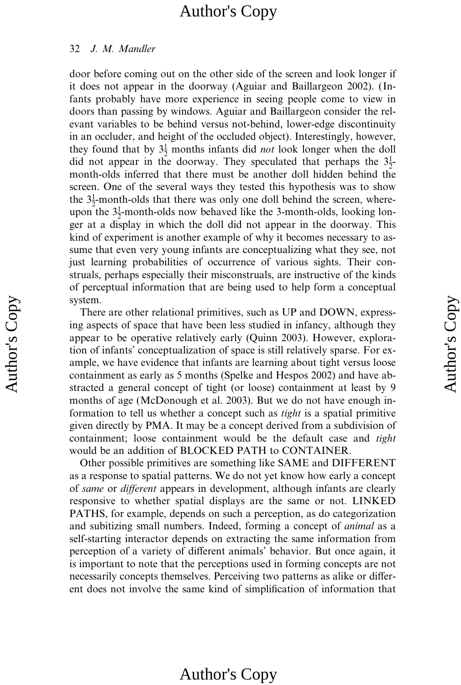#### 32 J. M. Mandler

door before coming out on the other side of the screen and look longer if it does not appear in the doorway (Aguiar and Baillargeon 2002). (Infants probably have more experience in seeing people come to view in doors than passing by windows. Aguiar and Baillargeon consider the relevant variables to be behind versus not-behind, lower-edge discontinuity in an occluder, and height of the occluded object). Interestingly, however, they found that by  $3\frac{1}{2}$  months infants did *not* look longer when the doll did not appear in the doorway. They speculated that perhaps the  $3\frac{1}{2}$ month-olds inferred that there must be another doll hidden behind the screen. One of the several ways they tested this hypothesis was to show the  $3\frac{1}{2}$  month-olds that there was only one doll behind the screen, whereupon the  $3\frac{1}{2}$ -month-olds now behaved like the 3-month-olds, looking longer at a display in which the doll did not appear in the doorway. This kind of experiment is another example of why it becomes necessary to assume that even very young infants are conceptualizing what they see, not just learning probabilities of occurrence of various sights. Their construals, perhaps especially their misconstruals, are instructive of the kinds of perceptual information that are being used to help form a conceptual system.

There are other relational primitives, such as UP and DOWN, expressing aspects of space that have been less studied in infancy, although they appear to be operative relatively early (Quinn 2003). However, exploration of infants' conceptualization of space is still relatively sparse. For example, we have evidence that infants are learning about tight versus loose containment as early as 5 months (Spelke and Hespos 2002) and have abstracted a general concept of tight (or loose) containment at least by 9 months of age (McDonough et al. 2003). But we do not have enough information to tell us whether a concept such as tight is a spatial primitive given directly by PMA. It may be a concept derived from a subdivision of containment; loose containment would be the default case and tight would be an addition of BLOCKED PATH to CONTAINER.

Other possible primitives are something like SAME and DIFFERENT as a response to spatial patterns. We do not yet know how early a concept of *same* or *different* appears in development, although infants are clearly responsive to whether spatial displays are the same or not. LINKED PATHS, for example, depends on such a perception, as do categorization and subitizing small numbers. Indeed, forming a concept of animal as a self-starting interactor depends on extracting the same information from perception of a variety of different animals' behavior. But once again, it is important to note that the perceptions used in forming concepts are not necessarily concepts themselves. Perceiving two patterns as alike or different does not involve the same kind of simplification of information that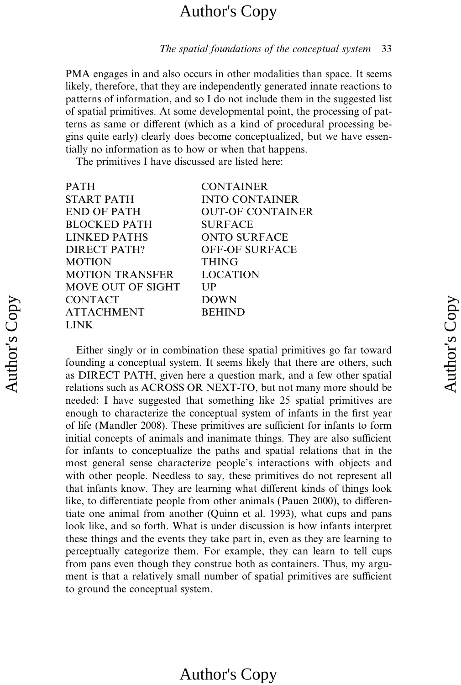The spatial foundations of the conceptual system 33

PMA engages in and also occurs in other modalities than space. It seems likely, therefore, that they are independently generated innate reactions to patterns of information, and so I do not include them in the suggested list of spatial primitives. At some developmental point, the processing of patterns as same or different (which as a kind of procedural processing begins quite early) clearly does become conceptualized, but we have essentially no information as to how or when that happens.

The primitives I have discussed are listed here:

| <b>PATH</b>            | <b>CONTAINER</b>      |
|------------------------|-----------------------|
| START PATH             | <b>INTO CONTAINER</b> |
| END OF PATH            | OUT-OF CONTAINER      |
| <b>BLOCKED PATH</b>    | <b>SURFACE</b>        |
| LINKED PATHS           | ONTO SURFACE          |
| <b>DIRECT PATH?</b>    | <b>OFF-OF SURFACE</b> |
| <b>MOTION</b>          | <b>THING</b>          |
| <b>MOTION TRANSFER</b> | LOCATION              |
| MOVE OUT OF SIGHT      | UР                    |
| CONTACT                | <b>DOWN</b>           |
| <b>ATTACHMENT</b>      | <b>BEHIND</b>         |
| LINK                   |                       |

Either singly or in combination these spatial primitives go far toward founding a conceptual system. It seems likely that there are others, such as DIRECT PATH, given here a question mark, and a few other spatial relations such as ACROSS OR NEXT-TO, but not many more should be needed: I have suggested that something like 25 spatial primitives are enough to characterize the conceptual system of infants in the first year of life (Mandler 2008). These primitives are sufficient for infants to form initial concepts of animals and inanimate things. They are also sufficient for infants to conceptualize the paths and spatial relations that in the most general sense characterize people's interactions with objects and with other people. Needless to say, these primitives do not represent all that infants know. They are learning what different kinds of things look like, to differentiate people from other animals (Pauen 2000), to differentiate one animal from another (Quinn et al. 1993), what cups and pans look like, and so forth. What is under discussion is how infants interpret these things and the events they take part in, even as they are learning to perceptually categorize them. For example, they can learn to tell cups from pans even though they construe both as containers. Thus, my argument is that a relatively small number of spatial primitives are sufficient to ground the conceptual system.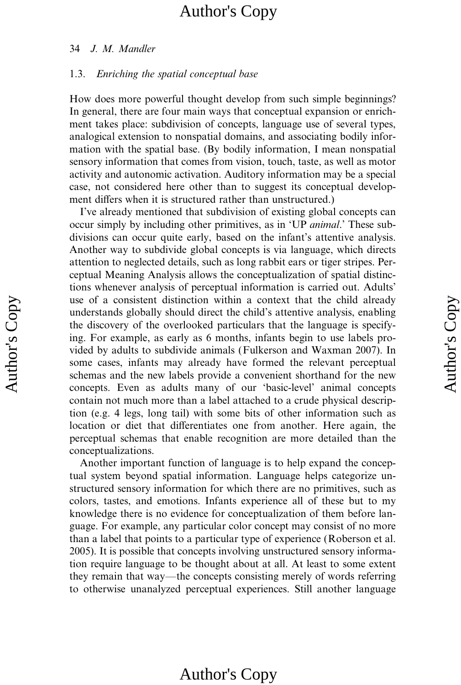#### 34 J. M. Mandler

#### 1.3. Enriching the spatial conceptual base

How does more powerful thought develop from such simple beginnings? In general, there are four main ways that conceptual expansion or enrichment takes place: subdivision of concepts, language use of several types, analogical extension to nonspatial domains, and associating bodily information with the spatial base. (By bodily information, I mean nonspatial sensory information that comes from vision, touch, taste, as well as motor activity and autonomic activation. Auditory information may be a special case, not considered here other than to suggest its conceptual development differs when it is structured rather than unstructured.)

I've already mentioned that subdivision of existing global concepts can occur simply by including other primitives, as in 'UP animal.' These subdivisions can occur quite early, based on the infant's attentive analysis. Another way to subdivide global concepts is via language, which directs attention to neglected details, such as long rabbit ears or tiger stripes. Perceptual Meaning Analysis allows the conceptualization of spatial distinctions whenever analysis of perceptual information is carried out. Adults' use of a consistent distinction within a context that the child already understands globally should direct the child's attentive analysis, enabling the discovery of the overlooked particulars that the language is specifying. For example, as early as 6 months, infants begin to use labels provided by adults to subdivide animals (Fulkerson and Waxman 2007). In some cases, infants may already have formed the relevant perceptual schemas and the new labels provide a convenient shorthand for the new concepts. Even as adults many of our 'basic-level' animal concepts contain not much more than a label attached to a crude physical description (e.g. 4 legs, long tail) with some bits of other information such as location or diet that differentiates one from another. Here again, the perceptual schemas that enable recognition are more detailed than the conceptualizations.

Another important function of language is to help expand the conceptual system beyond spatial information. Language helps categorize unstructured sensory information for which there are no primitives, such as colors, tastes, and emotions. Infants experience all of these but to my knowledge there is no evidence for conceptualization of them before language. For example, any particular color concept may consist of no more than a label that points to a particular type of experience (Roberson et al. 2005). It is possible that concepts involving unstructured sensory information require language to be thought about at all. At least to some extent they remain that way—the concepts consisting merely of words referring to otherwise unanalyzed perceptual experiences. Still another language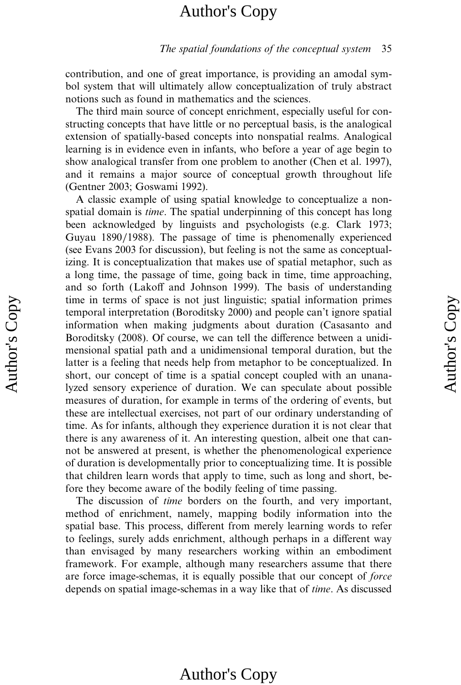#### The spatial foundations of the conceptual system 35

contribution, and one of great importance, is providing an amodal symbol system that will ultimately allow conceptualization of truly abstract notions such as found in mathematics and the sciences.

The third main source of concept enrichment, especially useful for constructing concepts that have little or no perceptual basis, is the analogical extension of spatially-based concepts into nonspatial realms. Analogical learning is in evidence even in infants, who before a year of age begin to show analogical transfer from one problem to another (Chen et al. 1997), and it remains a major source of conceptual growth throughout life (Gentner 2003; Goswami 1992).

A classic example of using spatial knowledge to conceptualize a nonspatial domain is time. The spatial underpinning of this concept has long been acknowledged by linguists and psychologists (e.g. Clark 1973; Guyau 1890/1988). The passage of time is phenomenally experienced (see Evans 2003 for discussion), but feeling is not the same as conceptualizing. It is conceptualization that makes use of spatial metaphor, such as a long time, the passage of time, going back in time, time approaching, and so forth (Lakoff and Johnson 1999). The basis of understanding time in terms of space is not just linguistic; spatial information primes temporal interpretation (Boroditsky 2000) and people can't ignore spatial information when making judgments about duration (Casasanto and Boroditsky (2008). Of course, we can tell the difference between a unidimensional spatial path and a unidimensional temporal duration, but the latter is a feeling that needs help from metaphor to be conceptualized. In short, our concept of time is a spatial concept coupled with an unanalyzed sensory experience of duration. We can speculate about possible measures of duration, for example in terms of the ordering of events, but these are intellectual exercises, not part of our ordinary understanding of time. As for infants, although they experience duration it is not clear that there is any awareness of it. An interesting question, albeit one that cannot be answered at present, is whether the phenomenological experience of duration is developmentally prior to conceptualizing time. It is possible that children learn words that apply to time, such as long and short, before they become aware of the bodily feeling of time passing.

The discussion of time borders on the fourth, and very important, method of enrichment, namely, mapping bodily information into the spatial base. This process, different from merely learning words to refer to feelings, surely adds enrichment, although perhaps in a different way than envisaged by many researchers working within an embodiment framework. For example, although many researchers assume that there are force image-schemas, it is equally possible that our concept of force depends on spatial image-schemas in a way like that of time. As discussed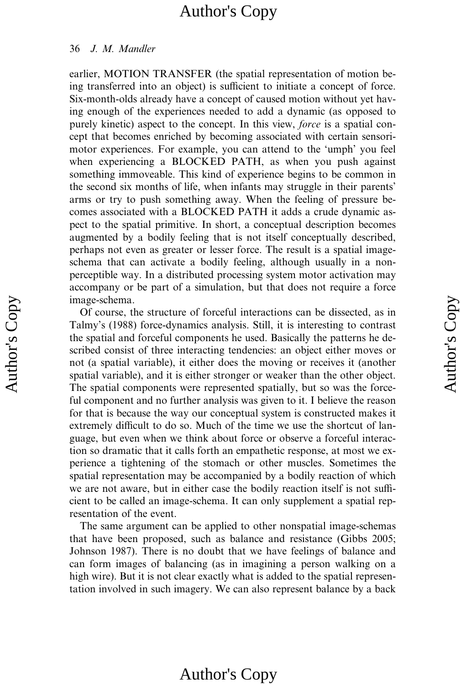#### 36 J. M. Mandler

earlier, MOTION TRANSFER (the spatial representation of motion being transferred into an object) is sufficient to initiate a concept of force. Six-month-olds already have a concept of caused motion without yet having enough of the experiences needed to add a dynamic (as opposed to purely kinetic) aspect to the concept. In this view, force is a spatial concept that becomes enriched by becoming associated with certain sensorimotor experiences. For example, you can attend to the 'umph' you feel when experiencing a BLOCKED PATH, as when you push against something immoveable. This kind of experience begins to be common in the second six months of life, when infants may struggle in their parents' arms or try to push something away. When the feeling of pressure becomes associated with a BLOCKED PATH it adds a crude dynamic aspect to the spatial primitive. In short, a conceptual description becomes augmented by a bodily feeling that is not itself conceptually described, perhaps not even as greater or lesser force. The result is a spatial imageschema that can activate a bodily feeling, although usually in a nonperceptible way. In a distributed processing system motor activation may accompany or be part of a simulation, but that does not require a force image-schema.

Of course, the structure of forceful interactions can be dissected, as in Talmy's (1988) force-dynamics analysis. Still, it is interesting to contrast the spatial and forceful components he used. Basically the patterns he described consist of three interacting tendencies: an object either moves or not (a spatial variable), it either does the moving or receives it (another spatial variable), and it is either stronger or weaker than the other object. The spatial components were represented spatially, but so was the forceful component and no further analysis was given to it. I believe the reason for that is because the way our conceptual system is constructed makes it extremely difficult to do so. Much of the time we use the shortcut of language, but even when we think about force or observe a forceful interaction so dramatic that it calls forth an empathetic response, at most we experience a tightening of the stomach or other muscles. Sometimes the spatial representation may be accompanied by a bodily reaction of which we are not aware, but in either case the bodily reaction itself is not sufficient to be called an image-schema. It can only supplement a spatial representation of the event.

The same argument can be applied to other nonspatial image-schemas that have been proposed, such as balance and resistance (Gibbs 2005; Johnson 1987). There is no doubt that we have feelings of balance and can form images of balancing (as in imagining a person walking on a high wire). But it is not clear exactly what is added to the spatial representation involved in such imagery. We can also represent balance by a back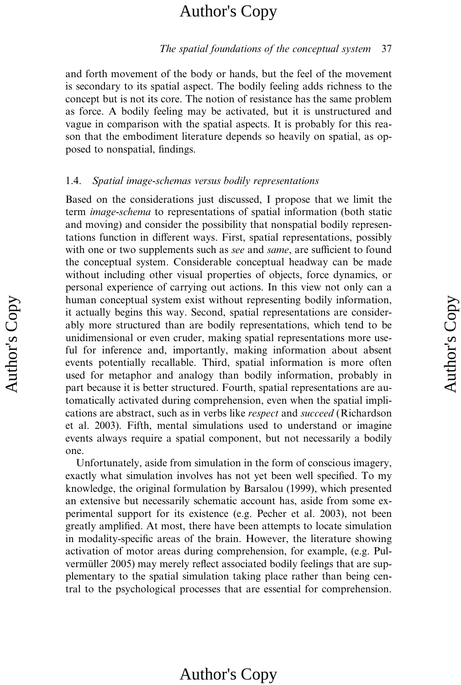#### The spatial foundations of the conceptual system 37

and forth movement of the body or hands, but the feel of the movement is secondary to its spatial aspect. The bodily feeling adds richness to the concept but is not its core. The notion of resistance has the same problem as force. A bodily feeling may be activated, but it is unstructured and vague in comparison with the spatial aspects. It is probably for this reason that the embodiment literature depends so heavily on spatial, as opposed to nonspatial, findings.

#### 1.4. Spatial image-schemas versus bodily representations

Based on the considerations just discussed, I propose that we limit the term image-schema to representations of spatial information (both static and moving) and consider the possibility that nonspatial bodily representations function in different ways. First, spatial representations, possibly with one or two supplements such as *see* and *same*, are sufficient to found the conceptual system. Considerable conceptual headway can be made without including other visual properties of objects, force dynamics, or personal experience of carrying out actions. In this view not only can a human conceptual system exist without representing bodily information, it actually begins this way. Second, spatial representations are considerably more structured than are bodily representations, which tend to be unidimensional or even cruder, making spatial representations more useful for inference and, importantly, making information about absent events potentially recallable. Third, spatial information is more often used for metaphor and analogy than bodily information, probably in part because it is better structured. Fourth, spatial representations are automatically activated during comprehension, even when the spatial implications are abstract, such as in verbs like respect and succeed (Richardson et al. 2003). Fifth, mental simulations used to understand or imagine events always require a spatial component, but not necessarily a bodily one.

Unfortunately, aside from simulation in the form of conscious imagery, exactly what simulation involves has not yet been well specified. To my knowledge, the original formulation by Barsalou (1999), which presented an extensive but necessarily schematic account has, aside from some experimental support for its existence (e.g. Pecher et al. 2003), not been greatly amplified. At most, there have been attempts to locate simulation in modality-specific areas of the brain. However, the literature showing activation of motor areas during comprehension, for example, (e.g. Pulvermüller 2005) may merely reflect associated bodily feelings that are supplementary to the spatial simulation taking place rather than being central to the psychological processes that are essential for comprehension.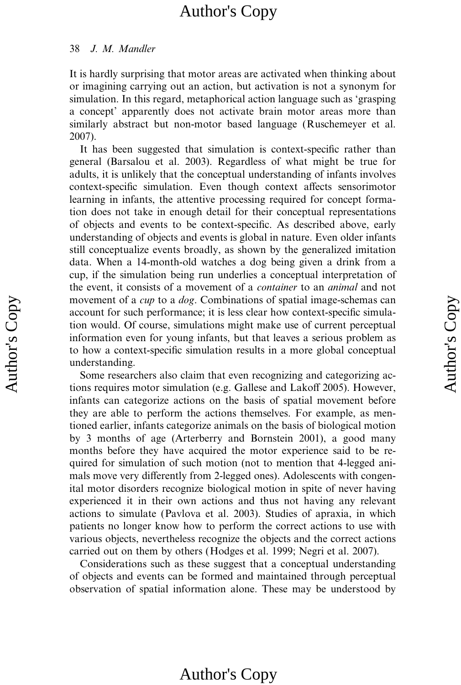#### 38 J. M. Mandler

It is hardly surprising that motor areas are activated when thinking about or imagining carrying out an action, but activation is not a synonym for simulation. In this regard, metaphorical action language such as 'grasping a concept' apparently does not activate brain motor areas more than similarly abstract but non-motor based language (Ruschemeyer et al. 2007).

It has been suggested that simulation is context-specific rather than general (Barsalou et al. 2003). Regardless of what might be true for adults, it is unlikely that the conceptual understanding of infants involves context-specific simulation. Even though context affects sensorimotor learning in infants, the attentive processing required for concept formation does not take in enough detail for their conceptual representations of objects and events to be context-specific. As described above, early understanding of objects and events is global in nature. Even older infants still conceptualize events broadly, as shown by the generalized imitation data. When a 14-month-old watches a dog being given a drink from a cup, if the simulation being run underlies a conceptual interpretation of the event, it consists of a movement of a container to an animal and not movement of a *cup* to a *dog*. Combinations of spatial image-schemas can account for such performance; it is less clear how context-specific simulation would. Of course, simulations might make use of current perceptual information even for young infants, but that leaves a serious problem as to how a context-specific simulation results in a more global conceptual understanding.

Some researchers also claim that even recognizing and categorizing actions requires motor simulation (e.g. Gallese and Lakoff 2005). However, infants can categorize actions on the basis of spatial movement before they are able to perform the actions themselves. For example, as mentioned earlier, infants categorize animals on the basis of biological motion by 3 months of age (Arterberry and Bornstein 2001), a good many months before they have acquired the motor experience said to be required for simulation of such motion (not to mention that 4-legged animals move very differently from 2-legged ones). Adolescents with congenital motor disorders recognize biological motion in spite of never having experienced it in their own actions and thus not having any relevant actions to simulate (Pavlova et al. 2003). Studies of apraxia, in which patients no longer know how to perform the correct actions to use with various objects, nevertheless recognize the objects and the correct actions carried out on them by others (Hodges et al. 1999; Negri et al. 2007).

Considerations such as these suggest that a conceptual understanding of objects and events can be formed and maintained through perceptual observation of spatial information alone. These may be understood by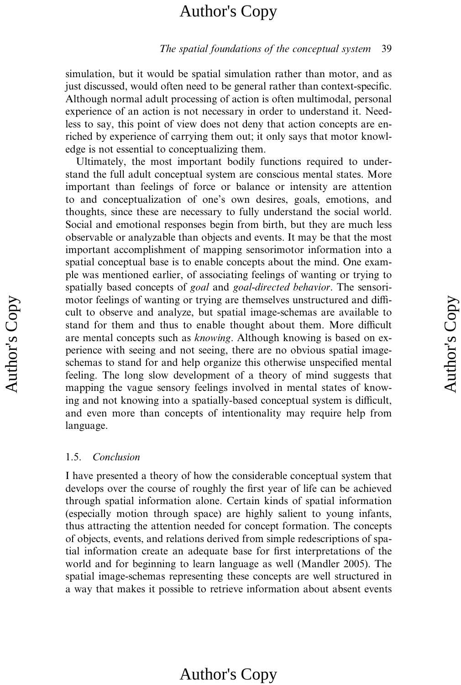## The spatial foundations of the conceptual system 39

simulation, but it would be spatial simulation rather than motor, and as just discussed, would often need to be general rather than context-specific. Although normal adult processing of action is often multimodal, personal experience of an action is not necessary in order to understand it. Needless to say, this point of view does not deny that action concepts are enriched by experience of carrying them out; it only says that motor knowledge is not essential to conceptualizing them.

Ultimately, the most important bodily functions required to understand the full adult conceptual system are conscious mental states. More important than feelings of force or balance or intensity are attention to and conceptualization of one's own desires, goals, emotions, and thoughts, since these are necessary to fully understand the social world. Social and emotional responses begin from birth, but they are much less observable or analyzable than objects and events. It may be that the most important accomplishment of mapping sensorimotor information into a spatial conceptual base is to enable concepts about the mind. One example was mentioned earlier, of associating feelings of wanting or trying to spatially based concepts of goal and goal-directed behavior. The sensorimotor feelings of wanting or trying are themselves unstructured and difficult to observe and analyze, but spatial image-schemas are available to stand for them and thus to enable thought about them. More difficult are mental concepts such as knowing. Although knowing is based on experience with seeing and not seeing, there are no obvious spatial imageschemas to stand for and help organize this otherwise unspecified mental feeling. The long slow development of a theory of mind suggests that mapping the vague sensory feelings involved in mental states of knowing and not knowing into a spatially-based conceptual system is difficult, and even more than concepts of intentionality may require help from language.

#### 1.5. Conclusion

I have presented a theory of how the considerable conceptual system that develops over the course of roughly the first year of life can be achieved through spatial information alone. Certain kinds of spatial information (especially motion through space) are highly salient to young infants, thus attracting the attention needed for concept formation. The concepts of objects, events, and relations derived from simple redescriptions of spatial information create an adequate base for first interpretations of the world and for beginning to learn language as well (Mandler 2005). The spatial image-schemas representing these concepts are well structured in a way that makes it possible to retrieve information about absent events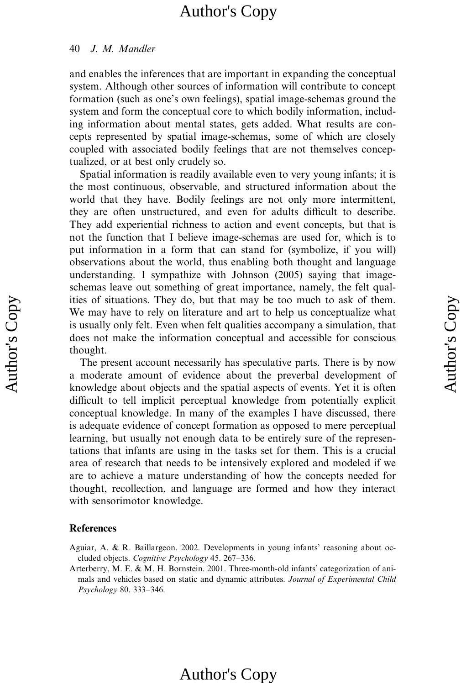#### 40 J. M. Mandler

and enables the inferences that are important in expanding the conceptual system. Although other sources of information will contribute to concept formation (such as one's own feelings), spatial image-schemas ground the system and form the conceptual core to which bodily information, including information about mental states, gets added. What results are concepts represented by spatial image-schemas, some of which are closely coupled with associated bodily feelings that are not themselves conceptualized, or at best only crudely so.

Spatial information is readily available even to very young infants; it is the most continuous, observable, and structured information about the world that they have. Bodily feelings are not only more intermittent, they are often unstructured, and even for adults difficult to describe. They add experiential richness to action and event concepts, but that is not the function that I believe image-schemas are used for, which is to put information in a form that can stand for (symbolize, if you will) observations about the world, thus enabling both thought and language understanding. I sympathize with Johnson (2005) saying that imageschemas leave out something of great importance, namely, the felt qualities of situations. They do, but that may be too much to ask of them. We may have to rely on literature and art to help us conceptualize what is usually only felt. Even when felt qualities accompany a simulation, that does not make the information conceptual and accessible for conscious thought.

The present account necessarily has speculative parts. There is by now a moderate amount of evidence about the preverbal development of knowledge about objects and the spatial aspects of events. Yet it is often difficult to tell implicit perceptual knowledge from potentially explicit conceptual knowledge. In many of the examples I have discussed, there is adequate evidence of concept formation as opposed to mere perceptual learning, but usually not enough data to be entirely sure of the representations that infants are using in the tasks set for them. This is a crucial area of research that needs to be intensively explored and modeled if we are to achieve a mature understanding of how the concepts needed for thought, recollection, and language are formed and how they interact with sensorimotor knowledge.

#### References

Aguiar, A. & R. Baillargeon. 2002. Developments in young infants' reasoning about occluded objects. Cognitive Psychology 45. 267–336.

Arterberry, M. E. & M. H. Bornstein. 2001. Three-month-old infants' categorization of animals and vehicles based on static and dynamic attributes. Journal of Experimental Child Psychology 80. 333–346.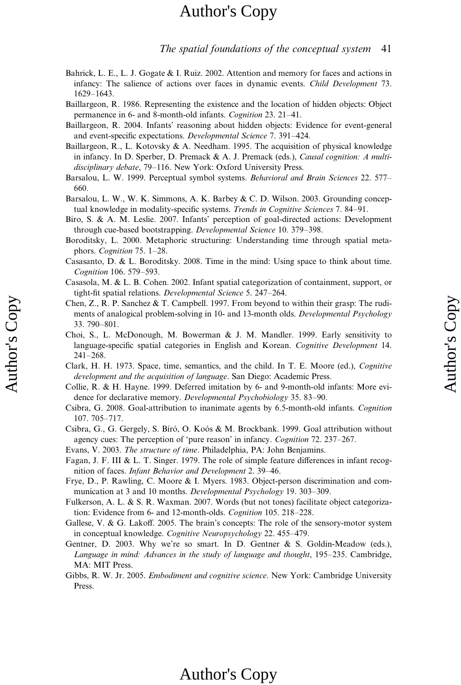- Bahrick, L. E., L. J. Gogate & I. Ruiz. 2002. Attention and memory for faces and actions in infancy: The salience of actions over faces in dynamic events. Child Development 73. 1629–1643.
- Baillargeon, R. 1986. Representing the existence and the location of hidden objects: Object permanence in 6- and 8-month-old infants. Cognition 23. 21–41.
- Baillargeon, R. 2004. Infants' reasoning about hidden objects: Evidence for event-general and event-specific expectations. Developmental Science 7. 391–424.
- Baillargeon, R., L. Kotovsky & A. Needham. 1995. The acquisition of physical knowledge in infancy. In D. Sperber, D. Premack & A. J. Premack (eds.), Causal cognition: A multidisciplinary debate, 79–116. New York: Oxford University Press.
- Barsalou, L. W. 1999. Perceptual symbol systems. Behavioral and Brain Sciences 22. 577– 660.
- Barsalou, L. W., W. K. Simmons, A. K. Barbey & C. D. Wilson. 2003. Grounding conceptual knowledge in modality-specific systems. Trends in Cognitive Sciences 7. 84–91.
- Biro, S. & A. M. Leslie. 2007. Infants' perception of goal-directed actions: Development through cue-based bootstrapping. Developmental Science 10. 379–398.
- Boroditsky, L. 2000. Metaphoric structuring: Understanding time through spatial metaphors. Cognition 75. 1–28.
- Casasanto, D. & L. Boroditsky. 2008. Time in the mind: Using space to think about time. Cognition 106. 579–593.
- Casasola, M. & L. B. Cohen. 2002. Infant spatial categorization of containment, support, or tight-fit spatial relations. Developmental Science 5. 247–264.
- Chen, Z., R. P. Sanchez & T. Campbell. 1997. From beyond to within their grasp: The rudiments of analogical problem-solving in 10- and 13-month olds. Developmental Psychology 33. 790–801.
- Choi, S., L. McDonough, M. Bowerman & J. M. Mandler. 1999. Early sensitivity to language-specific spatial categories in English and Korean. Cognitive Development 14. 241–268.
- Clark, H. H. 1973. Space, time, semantics, and the child. In T. E. Moore (ed.), Cognitive development and the acquisition of language. San Diego: Academic Press.
- Collie, R. & H. Hayne. 1999. Deferred imitation by 6- and 9-month-old infants: More evidence for declarative memory. Developmental Psychobiology 35. 83–90.
- Csibra, G. 2008. Goal-attribution to inanimate agents by 6.5-month-old infants. Cognition 107. 705–717.
- Csibra, G., G. Gergely, S. Bíró, O. Koós & M. Brockbank. 1999. Goal attribution without agency cues: The perception of 'pure reason' in infancy. Cognition 72. 237–267.
- Evans, V. 2003. The structure of time. Philadelphia, PA: John Benjamins.
- Fagan, J. F. III & L. T. Singer. 1979. The role of simple feature differences in infant recognition of faces. Infant Behavior and Development 2. 39–46.
- Frye, D., P. Rawling, C. Moore & I. Myers. 1983. Object-person discrimination and communication at 3 and 10 months. Developmental Psychology 19. 303–309.
- Fulkerson, A. L. & S. R. Waxman. 2007. Words (but not tones) facilitate object categorization: Evidence from 6- and 12-month-olds. Cognition 105. 218–228.
- Gallese, V. & G. Lakoff. 2005. The brain's concepts: The role of the sensory-motor system in conceptual knowledge. Cognitive Neuropsychology 22. 455–479.
- Gentner, D. 2003. Why we're so smart. In D. Gentner & S. Goldin-Meadow (eds.), Language in mind: Advances in the study of language and thought, 195–235. Cambridge, MA: MIT Press.
- Gibbs, R. W. Jr. 2005. Embodiment and cognitive science. New York: Cambridge University Press.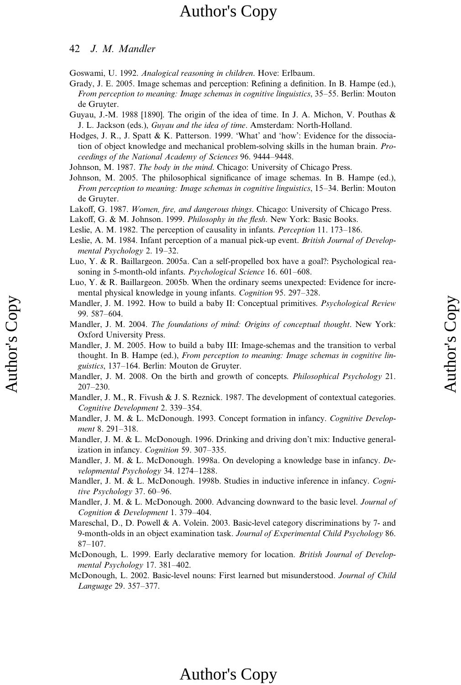#### 42 J. M. Mandler

Author's Copy Author's Copy

Goswami, U. 1992. Analogical reasoning in children. Hove: Erlbaum.

- Grady, J. E. 2005. Image schemas and perception: Refining a definition. In B. Hampe (ed.), From perception to meaning: Image schemas in cognitive linguistics, 35–55. Berlin: Mouton de Gruyter.
- Guyau, J.-M. 1988 [1890]. The origin of the idea of time. In J. A. Michon, V. Pouthas  $\&$ J. L. Jackson (eds.), Guyau and the idea of time. Amsterdam: North-Holland.
- Hodges, J. R., J. Spatt & K. Patterson. 1999. 'What' and 'how': Evidence for the dissociation of object knowledge and mechanical problem-solving skills in the human brain. Proceedings of the National Academy of Sciences 96. 9444–9448.
- Johnson, M. 1987. The body in the mind. Chicago: University of Chicago Press.
- Johnson, M. 2005. The philosophical significance of image schemas. In B. Hampe (ed.), From perception to meaning: Image schemas in cognitive linguistics, 15–34. Berlin: Mouton de Gruyter.
- Lakoff, G. 1987. Women, fire, and dangerous things. Chicago: University of Chicago Press.
- Lakoff, G. & M. Johnson. 1999. Philosophy in the flesh. New York: Basic Books.
- Leslie, A. M. 1982. The perception of causality in infants. Perception 11. 173–186.
- Leslie, A. M. 1984. Infant perception of a manual pick-up event. British Journal of Developmental Psychology 2. 19–32.
- Luo, Y. & R. Baillargeon. 2005a. Can a self-propelled box have a goal?: Psychological reasoning in 5-month-old infants. *Psychological Science* 16. 601–608.
- Luo, Y. & R. Baillargeon. 2005b. When the ordinary seems unexpected: Evidence for incremental physical knowledge in young infants. Cognition 95. 297–328.
- Mandler, J. M. 1992. How to build a baby II: Conceptual primitives. Psychological Review 99. 587–604.
- Mandler, J. M. 2004. The foundations of mind: Origins of conceptual thought. New York: Oxford University Press.
- Mandler, J. M. 2005. How to build a baby III: Image-schemas and the transition to verbal thought. In B. Hampe (ed.), From perception to meaning: Image schemas in cognitive linguistics, 137–164. Berlin: Mouton de Gruyter.
- Mandler, J. M. 2008. On the birth and growth of concepts. Philosophical Psychology 21. 207–230.
- Mandler, J. M., R. Fivush & J. S. Reznick. 1987. The development of contextual categories. Cognitive Development 2. 339–354.
- Mandler, J. M. & L. McDonough. 1993. Concept formation in infancy. Cognitive Development 8. 291–318.
- Mandler, J. M. & L. McDonough. 1996. Drinking and driving don't mix: Inductive generalization in infancy. Cognition 59. 307–335.
- Mandler, J. M. & L. McDonough. 1998a. On developing a knowledge base in infancy. Developmental Psychology 34. 1274–1288.
- Mandler, J. M. & L. McDonough. 1998b. Studies in inductive inference in infancy. Cognitive Psychology 37. 60–96.
- Mandler, J. M. & L. McDonough. 2000. Advancing downward to the basic level. Journal of Cognition & Development 1. 379–404.
- Mareschal, D., D. Powell & A. Volein. 2003. Basic-level category discriminations by 7- and 9-month-olds in an object examination task. Journal of Experimental Child Psychology 86. 87–107.
- McDonough, L. 1999. Early declarative memory for location. British Journal of Developmental Psychology 17. 381–402.
- McDonough, L. 2002. Basic-level nouns: First learned but misunderstood. Journal of Child Language 29. 357–377.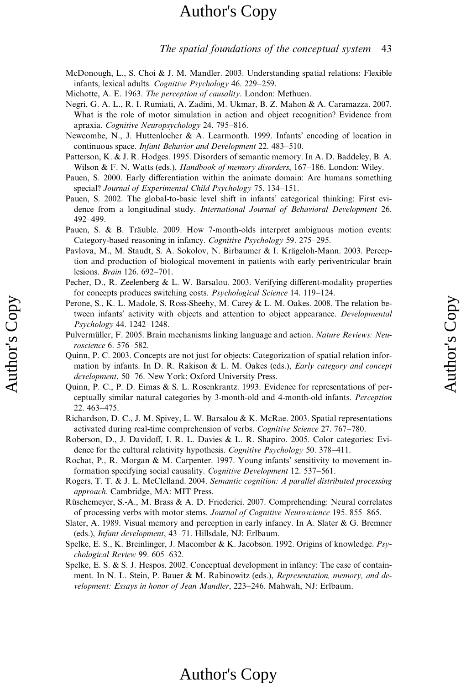- McDonough, L., S. Choi & J. M. Mandler. 2003. Understanding spatial relations: Flexible infants, lexical adults. Cognitive Psychology 46. 229–259.
- Michotte, A. E. 1963. The perception of causality. London: Methuen.
- Negri, G. A. L., R. I. Rumiati, A. Zadini, M. Ukmar, B. Z. Mahon & A. Caramazza. 2007. What is the role of motor simulation in action and object recognition? Evidence from apraxia. Cognitive Neuropsychology 24. 795–816.
- Newcombe, N., J. Huttenlocher & A. Learmonth. 1999. Infants' encoding of location in continuous space. Infant Behavior and Development 22. 483–510.
- Patterson, K. & J. R. Hodges. 1995. Disorders of semantic memory. In A. D. Baddeley, B. A. Wilson & F. N. Watts (eds.), Handbook of memory disorders, 167-186. London: Wiley.
- Pauen, S. 2000. Early differentiation within the animate domain: Are humans something special? Journal of Experimental Child Psychology 75. 134–151.
- Pauen, S. 2002. The global-to-basic level shift in infants' categorical thinking: First evidence from a longitudinal study. International Journal of Behavioral Development 26. 492–499.
- Pauen, S. & B. Träuble. 2009. How 7-month-olds interpret ambiguous motion events: Category-based reasoning in infancy. Cognitive Psychology 59. 275–295.
- Pavlova, M., M. Staudt, S. A. Sokolov, N. Birbaumer & I. Krägeloh-Mann. 2003. Perception and production of biological movement in patients with early periventricular brain lesions. Brain 126. 692–701.
- Pecher, D., R. Zeelenberg  $&$  L. W. Barsalou. 2003. Verifying different-modality properties for concepts produces switching costs. Psychological Science 14. 119–124.
- Perone, S., K. L. Madole, S. Ross-Sheehy, M. Carey & L. M. Oakes. 2008. The relation between infants' activity with objects and attention to object appearance. *Developmental* Psychology 44. 1242–1248.
- Pulvermüller, F. 2005. Brain mechanisms linking language and action. *Nature Reviews: Neu*roscience 6. 576–582.

Author's Copy Author's Copy

- Quinn, P. C. 2003. Concepts are not just for objects: Categorization of spatial relation information by infants. In D. R. Rakison & L. M. Oakes (eds.), Early category and concept development, 50–76. New York: Oxford University Press.
- Quinn, P. C., P. D. Eimas  $\&$  S. L. Rosenkrantz. 1993. Evidence for representations of perceptually similar natural categories by 3-month-old and 4-month-old infants. Perception 22. 463–475.
- Richardson, D. C., J. M. Spivey, L. W. Barsalou & K. McRae. 2003. Spatial representations activated during real-time comprehension of verbs. Cognitive Science 27. 767–780.
- Roberson, D., J. Davidoff, I. R. L. Davies & L. R. Shapiro. 2005. Color categories: Evidence for the cultural relativity hypothesis. Cognitive Psychology 50. 378–411.
- Rochat, P., R. Morgan & M. Carpenter. 1997. Young infants' sensitivity to movement information specifying social causality. Cognitive Development 12. 537–561.
- Rogers, T. T. & J. L. McClelland. 2004. Semantic cognition: A parallel distributed processing approach. Cambridge, MA: MIT Press.
- Rüschemeyer, S.-A., M. Brass & A. D. Friederici. 2007. Comprehending: Neural correlates of processing verbs with motor stems. Journal of Cognitive Neuroscience 195. 855–865.
- Slater, A. 1989. Visual memory and perception in early infancy. In A. Slater & G. Bremner (eds.), Infant development, 43–71. Hillsdale, NJ: Erlbaum.
- Spelke, E. S., K. Breinlinger, J. Macomber & K. Jacobson. 1992. Origins of knowledge. Psychological Review 99. 605–632.
- Spelke, E. S. & S. J. Hespos. 2002. Conceptual development in infancy: The case of containment. In N. L. Stein, P. Bauer & M. Rabinowitz (eds.), Representation, memory, and development: Essays in honor of Jean Mandler, 223–246. Mahwah, NJ: Erlbaum.